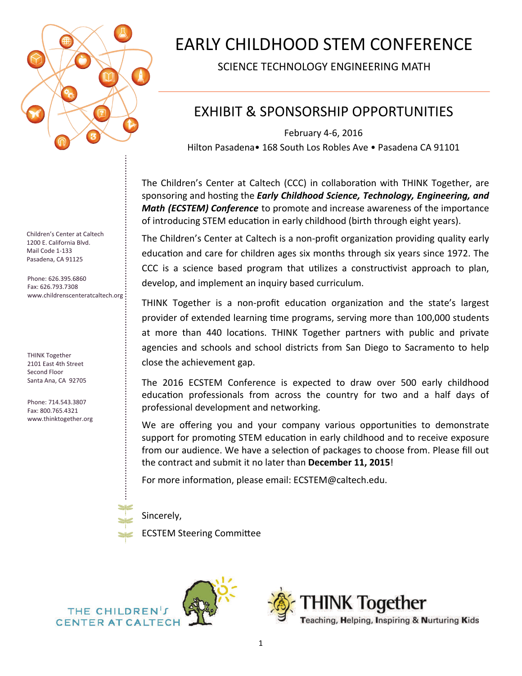

#### Children's Center at Caltech 1200 E. California Blvd. Mail Code 1‐133 Pasadena, CA 91125

Phone: 626.395.6860 Fax: 626.793.7308 www.childrenscenteratcaltech.org

THINK Together 2101 East 4th Street Second Floor Santa Ana, CA 92705

Phone: 714.543.3807 Fax: 800.765.4321 www.thinktogether.org

# EARLY CHILDHOOD STEM CONFERENCE

## SCIENCE TECHNOLOGY ENGINEERING MATH

## EXHIBIT & SPONSORSHIP OPPORTUNITIES

February 4‐6, 2016 Hilton Pasadena• 168 South Los Robles Ave • Pasadena CA 91101

The Children's Center at Caltech (CCC) in collaboration with THINK Together, are sponsoring and hosƟng the *Early Childhood Science, Technology, Engineering, and Math (ECSTEM) Conference* to promote and increase awareness of the importance of introducing STEM education in early childhood (birth through eight years).

The Children's Center at Caltech is a non-profit organization providing quality early education and care for children ages six months through six years since 1972. The CCC is a science based program that utilizes a constructivist approach to plan, develop, and implement an inquiry based curriculum.

THINK Together is a non-profit education organization and the state's largest provider of extended learning time programs, serving more than 100,000 students at more than 440 locations. THINK Together partners with public and private agencies and schools and school districts from San Diego to Sacramento to help close the achievement gap.

The 2016 ECSTEM Conference is expected to draw over 500 early childhood education professionals from across the country for two and a half days of professional development and networking.

We are offering you and your company various opportunities to demonstrate support for promoting STEM education in early childhood and to receive exposure from our audience. We have a selection of packages to choose from. Please fill out the contract and submit it no later than **December 11, 2015**!

For more information, please email: ECSTEM@caltech.edu.

Sincerely,

ECSTEM Steering CommiƩee





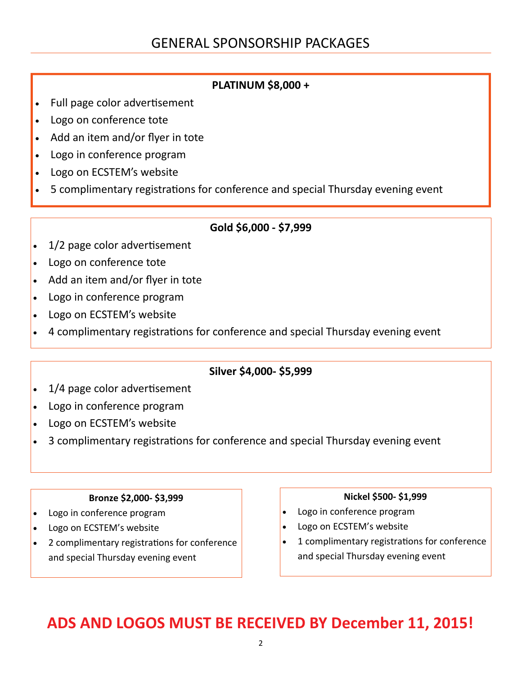## GENERAL SPONSORSHIP PACKAGES

## **PLATINUM \$8,000 +**

- Full page color advertisement
- Logo on conference tote
- Add an item and/or flyer in tote
- Logo in conference program
- Logo on ECSTEM's website
- 5 complimentary registrations for conference and special Thursday evening event

## **Gold \$6,000 ‐ \$7,999**

- $\cdot$  1/2 page color advertisement
- Logo on conference tote
- Add an item and/or flyer in tote
- Logo in conference program
- Logo on ECSTEM's website
- 4 complimentary registrations for conference and special Thursday evening event

## **Silver \$4,000‐ \$5,999**

- $\cdot$  1/4 page color advertisement
- Logo in conference program
- Logo on ECSTEM's website
- 3 complimentary registrations for conference and special Thursday evening event

#### **Bronze \$2,000‐ \$3,999**

- Logo in conference program
- Logo on ECSTEM's website
- 2 complimentary registrations for conference and special Thursday evening event

#### **Nickel \$500‐ \$1,999**

- Logo in conference program
- Logo on ECSTEM's website
- 1 complimentary registrations for conference and special Thursday evening event

# **ADS AND LOGOS MUST BE RECEIVED BY December 11, 2015!**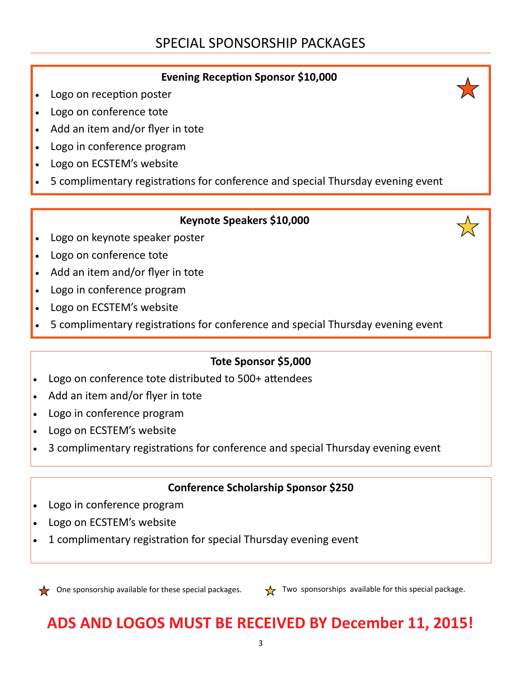## **Evening RecepƟon Sponsor \$10,000**

- Logo on reception poster
- Logo on conference tote
- Add an item and/or flyer in tote
- Logo in conference program
- Logo on ECSTEM's website
- 5 complimentary registrations for conference and special Thursday evening event

## **Keynote Speakers \$10,000**

- Logo on keynote speaker poster
- Logo on conference tote
- Add an item and/or flyer in tote
- Logo in conference program
- Logo on ECSTEM's website
- 5 complimentary registrations for conference and special Thursday evening event

## **Tote Sponsor \$5,000**

- Logo on conference tote distributed to 500+ attendees
- Add an item and/or flyer in tote
- Logo in conference program
- Logo on ECSTEM's website
- 3 complimentary registrations for conference and special Thursday evening event

## **Conference Scholarship Sponsor \$250**

- Logo in conference program
- Logo on ECSTEM's website
- 1 complimentary registration for special Thursday evening event



One sponsorship available for these special packages.  $\frac{1}{2}$  Two sponsorships available for this special package.

# **ADS AND LOGOS MUST BE RECEIVED BY December 11, 2015!**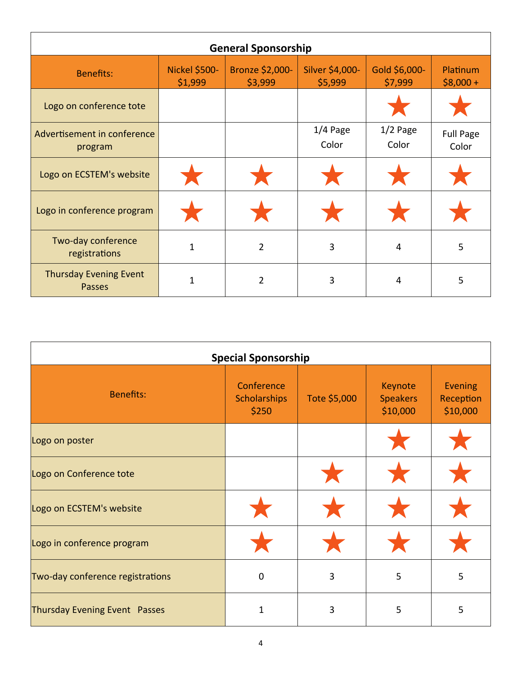| <b>General Sponsorship</b>              |                                 |                            |                            |                          |                           |  |  |  |
|-----------------------------------------|---------------------------------|----------------------------|----------------------------|--------------------------|---------------------------|--|--|--|
| <b>Benefits:</b>                        | <b>Nickel \$500-</b><br>\$1,999 | Bronze \$2,000-<br>\$3,999 | Silver \$4,000-<br>\$5,999 | Gold \$6,000-<br>\$7,999 | Platinum<br>$$8,000 +$    |  |  |  |
| Logo on conference tote                 |                                 |                            |                            |                          |                           |  |  |  |
| Advertisement in conference<br>program  |                                 |                            | 1/4 Page<br>Color          | $1/2$ Page<br>Color      | <b>Full Page</b><br>Color |  |  |  |
| Logo on ECSTEM's website                |                                 |                            |                            |                          |                           |  |  |  |
| Logo in conference program              |                                 |                            |                            |                          |                           |  |  |  |
| Two-day conference<br>registrations     | 1                               | $\overline{2}$             | 3                          | 4                        | 5                         |  |  |  |
| <b>Thursday Evening Event</b><br>Passes | 1                               | $\overline{2}$             | 3                          | 4                        | 5                         |  |  |  |

| <b>Special Sponsorship</b>       |                                            |              |                                        |                                  |  |  |  |
|----------------------------------|--------------------------------------------|--------------|----------------------------------------|----------------------------------|--|--|--|
| <b>Benefits:</b>                 | Conference<br><b>Scholarships</b><br>\$250 | Tote \$5,000 | Keynote<br><b>Speakers</b><br>\$10,000 | Evening<br>Reception<br>\$10,000 |  |  |  |
| Logo on poster                   |                                            |              |                                        |                                  |  |  |  |
| Logo on Conference tote          |                                            |              |                                        |                                  |  |  |  |
| Logo on ECSTEM's website         |                                            |              |                                        |                                  |  |  |  |
| Logo in conference program       |                                            |              |                                        |                                  |  |  |  |
| Two-day conference registrations | $\mathbf 0$                                | 3            | 5                                      | 5                                |  |  |  |
| Thursday Evening Event Passes    | 1                                          | 3            | 5                                      | 5                                |  |  |  |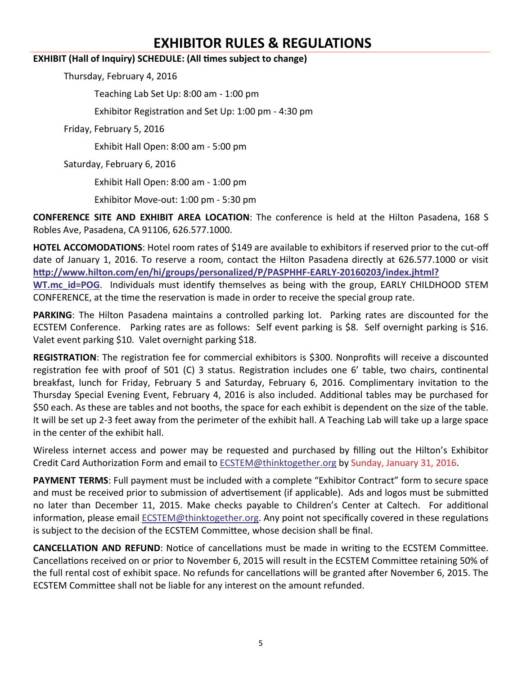## **EXHIBITOR RULES & REGULATIONS**

#### **EXHIBIT (Hall of Inquiry) SCHEDULE: (All Ɵmes subject to change)**

Thursday, February 4, 2016

Teaching Lab Set Up: 8:00 am ‐ 1:00 pm

Exhibitor Registration and Set Up: 1:00 pm - 4:30 pm

Friday, February 5, 2016

Exhibit Hall Open: 8:00 am ‐ 5:00 pm

Saturday, February 6, 2016

Exhibit Hall Open: 8:00 am ‐ 1:00 pm

Exhibitor Move‐out: 1:00 pm ‐ 5:30 pm

**CONFERENCE SITE AND EXHIBIT AREA LOCATION**: The conference is held at the Hilton Pasadena, 168 S Robles Ave, Pasadena, CA 91106, 626.577.1000.

**HOTEL ACCOMODATIONS**: Hotel room rates of \$149 are available to exhibitors if reserved prior to the cut‐off date of January 1, 2016. To reserve a room, contact the Hilton Pasadena directly at 626.577.1000 or visit **hƩ[p://www.hilton.com/en/hi/groups/personalized/P/PASPHHF](https://outlookweb.caltech.edu/owa/redir.aspx?SURL=6ltln1SMzw9jMMpyVREy2ttccJHrAJxLgj4xJbAO87yOQlQkFFDSCGgAdAB0AHAAOgAvAC8AdwB3AHcALgBoAGkAbAB0AG8AbgAuAGMAbwBtAC8AZQBuAC8AaABpAC8AZwByAG8AdQBwAHMALwBwAGUAcgBzAG8AbgBhAGwAaQB6AGUAZAAvAFAALwBQAEEAUwBQAEgASABGAC0ARQBBAFIATABZAC0AMgAwADEANgAwADIAMAAzAC8AaQBuAGQAZQB4AC4AagBoAHQAbQBsAD8AVwBUAC4AbQBjAF8AaQBkAD0AUABPAEcA&URL=http%3a%2f%2fwww.hilton.com%2fen%2fhi%2fgroups%2fpersonalized%2fP%2fPASPHHF-EARLY-20160203%2findex.jhtml%3fWT.mc_id%3dPOG)‐EARLY‐20160203/index.jhtml?** WT.mc id=POG. Individuals must identify themselves as being with the group, EARLY CHILDHOOD STEM

CONFERENCE, at the time the reservation is made in order to receive the special group rate.

**PARKING**: The Hilton Pasadena maintains a controlled parking lot. Parking rates are discounted for the ECSTEM Conference. Parking rates are as follows: Self event parking is \$8. Self overnight parking is \$16. Valet event parking \$10. Valet overnight parking \$18.

**REGISTRATION**: The registration fee for commercial exhibitors is \$300. Nonprofits will receive a discounted registration fee with proof of 501 (C) 3 status. Registration includes one 6' table, two chairs, continental breakfast, lunch for Friday, February 5 and Saturday, February 6, 2016. Complimentary invitation to the Thursday Special Evening Event, February 4, 2016 is also included. Additional tables may be purchased for \$50 each. As these are tables and not booths, the space for each exhibit is dependent on the size of the table. It will be set up 2‐3 feet away from the perimeter of the exhibit hall. A Teaching Lab will take up a large space in the center of the exhibit hall.

Wireless internet access and power may be requested and purchased by filling out the Hilton's Exhibitor Credit Card Authorization Form and email to **[ECSTEM@thinktogether.org](mailto:ecstem@thinktogether.org) by Sunday, January 31, 2016.** 

**PAYMENT TERMS**: Full payment must be included with a complete "Exhibitor Contract" form to secure space and must be received prior to submission of advertisement (if applicable). Ads and logos must be submitted no later than December 11, 2015. Make checks payable to Children's Center at Caltech. For additional information, please email [ECSTEM@thinktogether.org](mailto:ecstem@thinktogether.org). Any point not specifically covered in these regulations is subject to the decision of the ECSTEM Committee, whose decision shall be final.

**CANCELLATION AND REFUND**: Notice of cancellations must be made in writing to the ECSTEM Committee. Cancellations received on or prior to November 6, 2015 will result in the ECSTEM Committee retaining 50% of the full rental cost of exhibit space. No refunds for cancellations will be granted after November 6, 2015. The ECSTEM Committee shall not be liable for any interest on the amount refunded.